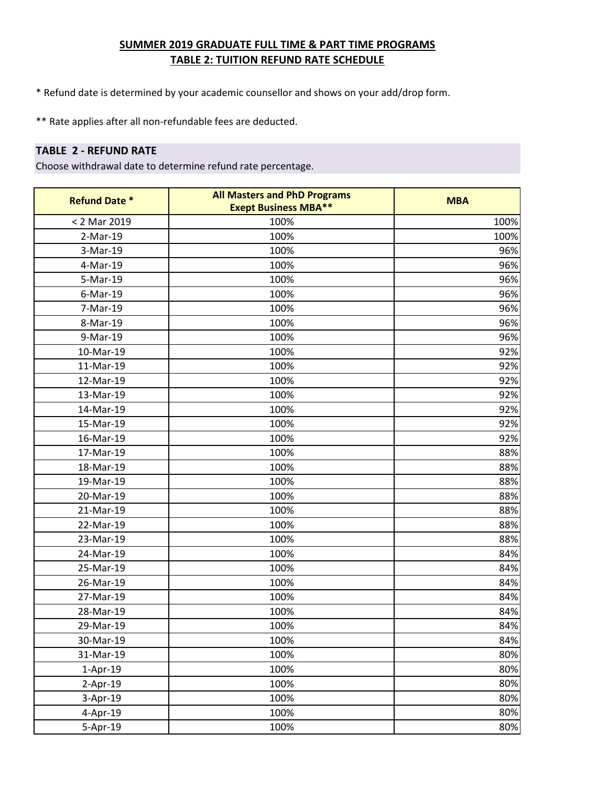- \* Refund date is determined by your academic counsellor and shows on your add/drop form.
- \*\* Rate applies after all non-refundable fees are deducted.

#### **TABLE 2 - REFUND RATE**

| <b>Refund Date *</b> | <b>All Masters and PhD Programs</b><br><b>Exept Business MBA**</b> | <b>MBA</b> |
|----------------------|--------------------------------------------------------------------|------------|
| < 2 Mar 2019         | 100%                                                               | 100%       |
| 2-Mar-19             | 100%                                                               | 100%       |
| 3-Mar-19             | 100%                                                               | 96%        |
| 4-Mar-19             | 100%                                                               | 96%        |
| 5-Mar-19             | 100%                                                               | 96%        |
| 6-Mar-19             | 100%                                                               | 96%        |
| 7-Mar-19             | 100%                                                               | 96%        |
| 8-Mar-19             | 100%                                                               | 96%        |
| 9-Mar-19             | 100%                                                               | 96%        |
| 10-Mar-19            | 100%                                                               | 92%        |
| 11-Mar-19            | 100%                                                               | 92%        |
| 12-Mar-19            | 100%                                                               | 92%        |
| 13-Mar-19            | 100%                                                               | 92%        |
| 14-Mar-19            | 100%                                                               | 92%        |
| 15-Mar-19            | 100%                                                               | 92%        |
| 16-Mar-19            | 100%                                                               | 92%        |
| 17-Mar-19            | 100%                                                               | 88%        |
| 18-Mar-19            | 100%                                                               | 88%        |
| 19-Mar-19            | 100%                                                               | 88%        |
| 20-Mar-19            | 100%                                                               | 88%        |
| 21-Mar-19            | 100%                                                               | 88%        |
| 22-Mar-19            | 100%                                                               | 88%        |
| 23-Mar-19            | 100%                                                               | 88%        |
| 24-Mar-19            | 100%                                                               | 84%        |
| 25-Mar-19            | 100%                                                               | 84%        |
| 26-Mar-19            | 100%                                                               | 84%        |
| 27-Mar-19            | 100%                                                               | 84%        |
| 28-Mar-19            | 100%                                                               | 84%        |
| 29-Mar-19            | 100%                                                               | 84%        |
| 30-Mar-19            | 100%                                                               | 84%        |
| 31-Mar-19            | 100%                                                               | 80%        |
| 1-Apr-19             | 100%                                                               | 80%        |
| $2-Apr-19$           | 100%                                                               | 80%        |
| 3-Apr-19             | 100%                                                               | 80%        |
| 4-Apr-19             | 100%                                                               | 80%        |
| 5-Apr-19             | 100%                                                               | 80%        |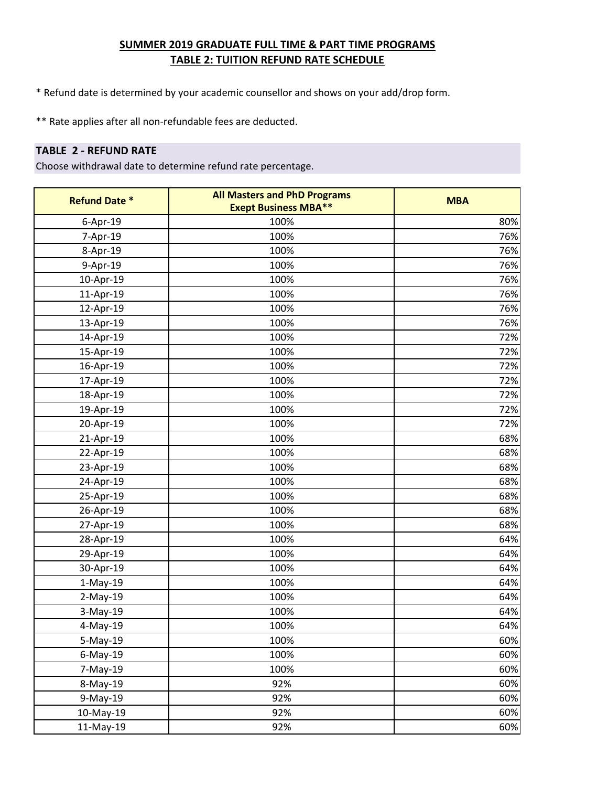- \* Refund date is determined by your academic counsellor and shows on your add/drop form.
- \*\* Rate applies after all non-refundable fees are deducted.

### **TABLE 2 - REFUND RATE**

| <b>Refund Date *</b> | <b>All Masters and PhD Programs</b><br><b>Exept Business MBA**</b> | <b>MBA</b> |
|----------------------|--------------------------------------------------------------------|------------|
| 6-Apr-19             | 100%                                                               | 80%        |
| 7-Apr-19             | 100%                                                               | 76%        |
| 8-Apr-19             | 100%                                                               | 76%        |
| 9-Apr-19             | 100%                                                               | 76%        |
| 10-Apr-19            | 100%                                                               | 76%        |
| 11-Apr-19            | 100%                                                               | 76%        |
| 12-Apr-19            | 100%                                                               | 76%        |
| 13-Apr-19            | 100%                                                               | 76%        |
| 14-Apr-19            | 100%                                                               | 72%        |
| 15-Apr-19            | 100%                                                               | 72%        |
| 16-Apr-19            | 100%                                                               | 72%        |
| 17-Apr-19            | 100%                                                               | 72%        |
| 18-Apr-19            | 100%                                                               | 72%        |
| 19-Apr-19            | 100%                                                               | 72%        |
| 20-Apr-19            | 100%                                                               | 72%        |
| 21-Apr-19            | 100%                                                               | 68%        |
| 22-Apr-19            | 100%                                                               | 68%        |
| 23-Apr-19            | 100%                                                               | 68%        |
| 24-Apr-19            | 100%                                                               | 68%        |
| 25-Apr-19            | 100%                                                               | 68%        |
| 26-Apr-19            | 100%                                                               | 68%        |
| 27-Apr-19            | 100%                                                               | 68%        |
| 28-Apr-19            | 100%                                                               | 64%        |
| 29-Apr-19            | 100%                                                               | 64%        |
| 30-Apr-19            | 100%                                                               | 64%        |
| $1-May-19$           | 100%                                                               | 64%        |
| $2-May-19$           | 100%                                                               | 64%        |
| 3-May-19             | 100%                                                               | 64%        |
| 4-May-19             | 100%                                                               | 64%        |
| 5-May-19             | 100%                                                               | 60%        |
| $6$ -May-19          | 100%                                                               | 60%        |
| 7-May-19             | 100%                                                               | 60%        |
| 8-May-19             | 92%                                                                | 60%        |
| 9-May-19             | 92%                                                                | 60%        |
| 10-May-19            | 92%                                                                | 60%        |
| 11-May-19            | 92%                                                                | 60%        |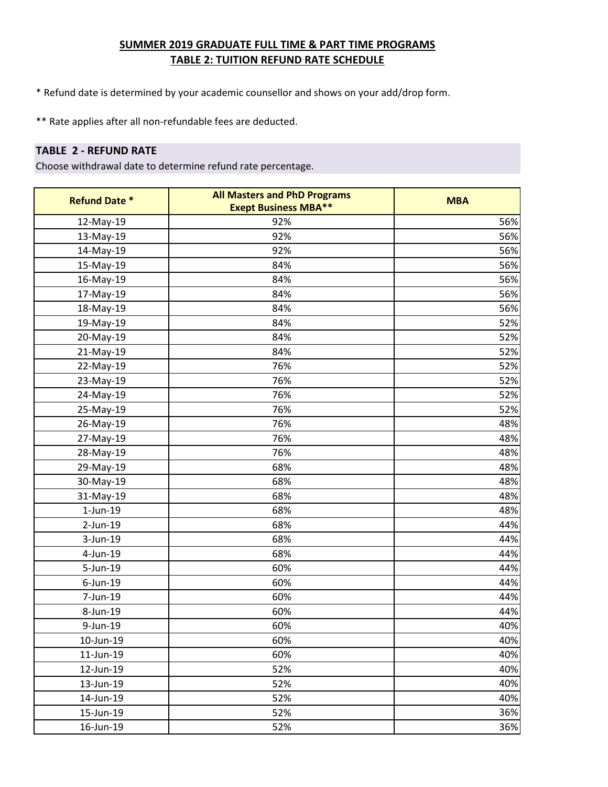- \* Refund date is determined by your academic counsellor and shows on your add/drop form.
- \*\* Rate applies after all non-refundable fees are deducted.

#### **TABLE 2 - REFUND RATE**

| <b>Refund Date *</b> | <b>All Masters and PhD Programs</b><br><b>Exept Business MBA**</b> | <b>MBA</b> |
|----------------------|--------------------------------------------------------------------|------------|
| 12-May-19            | 92%                                                                | 56%        |
| 13-May-19            | 92%                                                                | 56%        |
| 14-May-19            | 92%                                                                | 56%        |
| 15-May-19            | 84%                                                                | 56%        |
| 16-May-19            | 84%                                                                | 56%        |
| 17-May-19            | 84%                                                                | 56%        |
| 18-May-19            | 84%                                                                | 56%        |
| 19-May-19            | 84%                                                                | 52%        |
| 20-May-19            | 84%                                                                | 52%        |
| 21-May-19            | 84%                                                                | 52%        |
| 22-May-19            | 76%                                                                | 52%        |
| 23-May-19            | 76%                                                                | 52%        |
| 24-May-19            | 76%                                                                | 52%        |
| 25-May-19            | 76%                                                                | 52%        |
| 26-May-19            | 76%                                                                | 48%        |
| 27-May-19            | 76%                                                                | 48%        |
| 28-May-19            | 76%                                                                | 48%        |
| 29-May-19            | 68%                                                                | 48%        |
| 30-May-19            | 68%                                                                | 48%        |
| 31-May-19            | 68%                                                                | 48%        |
| $1$ -Jun- $19$       | 68%                                                                | 48%        |
| 2-Jun-19             | 68%                                                                | 44%        |
| 3-Jun-19             | 68%                                                                | 44%        |
| 4-Jun-19             | 68%                                                                | 44%        |
| 5-Jun-19             | 60%                                                                | 44%        |
| $6$ -Jun-19          | 60%                                                                | 44%        |
| 7-Jun-19             | 60%                                                                | 44%        |
| 8-Jun-19             | 60%                                                                | 44%        |
| 9-Jun-19             | 60%                                                                | 40%        |
| 10-Jun-19            | 60%                                                                | 40%        |
| 11-Jun-19            | 60%                                                                | 40%        |
| 12-Jun-19            | 52%                                                                | 40%        |
| 13-Jun-19            | 52%                                                                | 40%        |
| 14-Jun-19            | 52%                                                                | 40%        |
| 15-Jun-19            | 52%                                                                | 36%        |
| 16-Jun-19            | 52%                                                                | 36%        |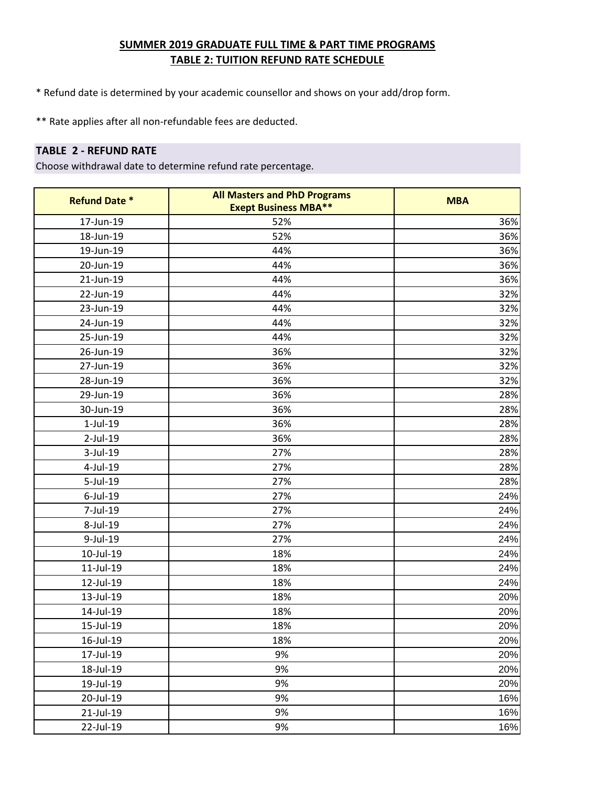- \* Refund date is determined by your academic counsellor and shows on your add/drop form.
- \*\* Rate applies after all non-refundable fees are deducted.

#### **TABLE 2 - REFUND RATE**

| <b>Refund Date *</b> | <b>All Masters and PhD Programs</b><br><b>Exept Business MBA**</b> | <b>MBA</b> |
|----------------------|--------------------------------------------------------------------|------------|
| 17-Jun-19            | 52%                                                                | 36%        |
| 18-Jun-19            | 52%                                                                | 36%        |
| 19-Jun-19            | 44%                                                                | 36%        |
| 20-Jun-19            | 44%                                                                | 36%        |
| 21-Jun-19            | 44%                                                                | 36%        |
| 22-Jun-19            | 44%                                                                | 32%        |
| 23-Jun-19            | 44%                                                                | 32%        |
| 24-Jun-19            | 44%                                                                | 32%        |
| 25-Jun-19            | 44%                                                                | 32%        |
| 26-Jun-19            | 36%                                                                | 32%        |
| 27-Jun-19            | 36%                                                                | 32%        |
| 28-Jun-19            | 36%                                                                | 32%        |
| 29-Jun-19            | 36%                                                                | 28%        |
| 30-Jun-19            | 36%                                                                | 28%        |
| $1$ -Jul- $19$       | 36%                                                                | 28%        |
| 2-Jul-19             | 36%                                                                | 28%        |
| 3-Jul-19             | 27%                                                                | 28%        |
| 4-Jul-19             | 27%                                                                | 28%        |
| 5-Jul-19             | 27%                                                                | 28%        |
| $6$ -Jul-19          | 27%                                                                | 24%        |
| 7-Jul-19             | 27%                                                                | 24%        |
| 8-Jul-19             | 27%                                                                | 24%        |
| 9-Jul-19             | 27%                                                                | 24%        |
| 10-Jul-19            | 18%                                                                | 24%        |
| 11-Jul-19            | 18%                                                                | 24%        |
| 12-Jul-19            | 18%                                                                | 24%        |
| 13-Jul-19            | 18%                                                                | 20%        |
| 14-Jul-19            | 18%                                                                | 20%        |
| 15-Jul-19            | 18%                                                                | 20%        |
| 16-Jul-19            | 18%                                                                | 20%        |
| 17-Jul-19            | 9%                                                                 | 20%        |
| 18-Jul-19            | 9%                                                                 | 20%        |
| 19-Jul-19            | 9%                                                                 | 20%        |
| 20-Jul-19            | 9%                                                                 | 16%        |
| 21-Jul-19            | 9%                                                                 | 16%        |
| 22-Jul-19            | 9%                                                                 | 16%        |